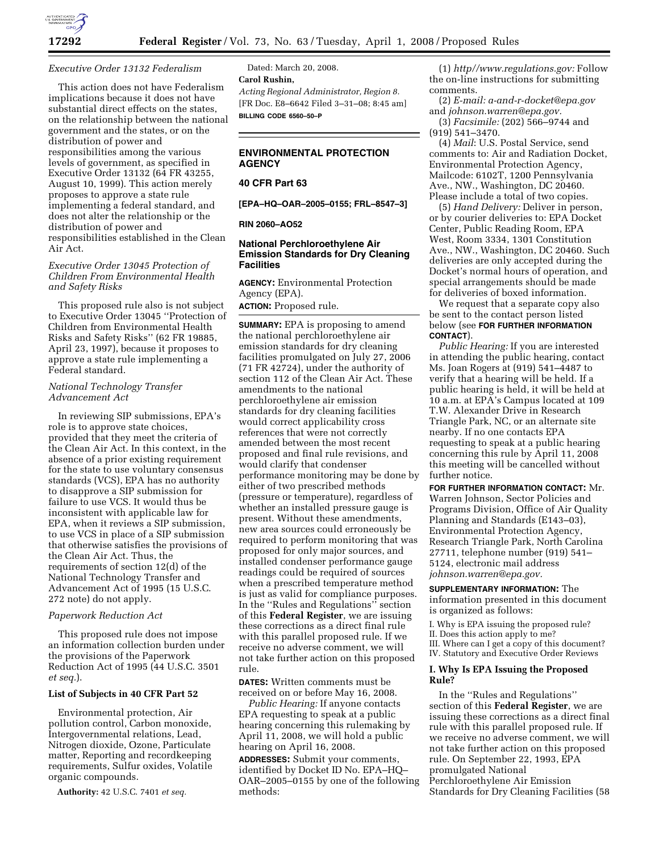

#### *Executive Order 13132 Federalism*

This action does not have Federalism implications because it does not have substantial direct effects on the states, on the relationship between the national government and the states, or on the distribution of power and responsibilities among the various levels of government, as specified in Executive Order 13132 (64 FR 43255, August 10, 1999). This action merely proposes to approve a state rule implementing a federal standard, and does not alter the relationship or the distribution of power and responsibilities established in the Clean Air Act.

### *Executive Order 13045 Protection of Children From Environmental Health and Safety Risks*

This proposed rule also is not subject to Executive Order 13045 ''Protection of Children from Environmental Health Risks and Safety Risks'' (62 FR 19885, April 23, 1997), because it proposes to approve a state rule implementing a Federal standard.

## *National Technology Transfer Advancement Act*

In reviewing SIP submissions, EPA's role is to approve state choices, provided that they meet the criteria of the Clean Air Act. In this context, in the absence of a prior existing requirement for the state to use voluntary consensus standards (VCS), EPA has no authority to disapprove a SIP submission for failure to use VCS. It would thus be inconsistent with applicable law for EPA, when it reviews a SIP submission, to use VCS in place of a SIP submission that otherwise satisfies the provisions of the Clean Air Act. Thus, the requirements of section 12(d) of the National Technology Transfer and Advancement Act of 1995 (15 U.S.C. 272 note) do not apply.

#### *Paperwork Reduction Act*

This proposed rule does not impose an information collection burden under the provisions of the Paperwork Reduction Act of 1995 (44 U.S.C. 3501 *et seq.*).

## **List of Subjects in 40 CFR Part 52**

Environmental protection, Air pollution control, Carbon monoxide, Intergovernmental relations, Lead, Nitrogen dioxide, Ozone, Particulate matter, Reporting and recordkeeping requirements, Sulfur oxides, Volatile organic compounds.

**Authority:** 42 U.S.C. 7401 *et seq.* 

Dated: March 20, 2008. **Carol Rushin,**  *Acting Regional Administrator, Region 8.*  [FR Doc. E8–6642 Filed 3–31–08; 8:45 am] **BILLING CODE 6560–50–P** 

## **ENVIRONMENTAL PROTECTION AGENCY**

## **40 CFR Part 63**

**[EPA–HQ–OAR–2005–0155; FRL–8547–3]** 

#### **RIN 2060–AO52**

## **National Perchloroethylene Air Emission Standards for Dry Cleaning Facilities**

**AGENCY:** Environmental Protection Agency (EPA).

**ACTION:** Proposed rule.

**SUMMARY:** EPA is proposing to amend the national perchloroethylene air emission standards for dry cleaning facilities promulgated on July 27, 2006 (71 FR 42724), under the authority of section 112 of the Clean Air Act. These amendments to the national perchloroethylene air emission standards for dry cleaning facilities would correct applicability cross references that were not correctly amended between the most recent proposed and final rule revisions, and would clarify that condenser performance monitoring may be done by either of two prescribed methods (pressure or temperature), regardless of whether an installed pressure gauge is present. Without these amendments, new area sources could erroneously be required to perform monitoring that was proposed for only major sources, and installed condenser performance gauge readings could be required of sources when a prescribed temperature method is just as valid for compliance purposes. In the ''Rules and Regulations'' section of this **Federal Register**, we are issuing these corrections as a direct final rule with this parallel proposed rule. If we receive no adverse comment, we will not take further action on this proposed rule.

**DATES:** Written comments must be received on or before May 16, 2008.

*Public Hearing:* If anyone contacts EPA requesting to speak at a public hearing concerning this rulemaking by April 11, 2008, we will hold a public hearing on April 16, 2008.

**ADDRESSES:** Submit your comments, identified by Docket ID No. EPA–HQ– OAR–2005–0155 by one of the following methods:

(1) *http//www.regulations.gov:* Follow the on-line instructions for submitting comments.

(2) *E-mail: a-and-r-docket@epa.gov*  and *johnson.warren@epa.gov.* 

(3) *Facsimile:* (202) 566–9744 and (919) 541–3470.

(4) *Mail*: U.S. Postal Service, send comments to: Air and Radiation Docket, Environmental Protection Agency, Mailcode: 6102T, 1200 Pennsylvania Ave., NW., Washington, DC 20460. Please include a total of two copies.

(5) *Hand Delivery:* Deliver in person, or by courier deliveries to: EPA Docket Center, Public Reading Room, EPA West, Room 3334, 1301 Constitution Ave., NW., Washington, DC 20460. Such deliveries are only accepted during the Docket's normal hours of operation, and special arrangements should be made for deliveries of boxed information.

We request that a separate copy also be sent to the contact person listed below (see **FOR FURTHER INFORMATION CONTACT**).

*Public Hearing:* If you are interested in attending the public hearing, contact Ms. Joan Rogers at (919) 541–4487 to verify that a hearing will be held. If a public hearing is held, it will be held at 10 a.m. at EPA's Campus located at 109 T.W. Alexander Drive in Research Triangle Park, NC, or an alternate site nearby. If no one contacts EPA requesting to speak at a public hearing concerning this rule by April 11, 2008 this meeting will be cancelled without further notice.

**FOR FURTHER INFORMATION CONTACT:** Mr. Warren Johnson, Sector Policies and Programs Division, Office of Air Quality Planning and Standards (E143–03), Environmental Protection Agency, Research Triangle Park, North Carolina 27711, telephone number (919) 541– 5124, electronic mail address *johnson.warren@epa.gov.* 

**SUPPLEMENTARY INFORMATION:** The information presented in this document is organized as follows:

I. Why is EPA issuing the proposed rule? II. Does this action apply to me?

III. Where can I get a copy of this document? IV. Statutory and Executive Order Reviews

# **I. Why Is EPA Issuing the Proposed**

# **Rule?**

In the ''Rules and Regulations'' section of this **Federal Register**, we are issuing these corrections as a direct final rule with this parallel proposed rule. If we receive no adverse comment, we will not take further action on this proposed rule. On September 22, 1993, EPA promulgated National Perchloroethylene Air Emission Standards for Dry Cleaning Facilities (58